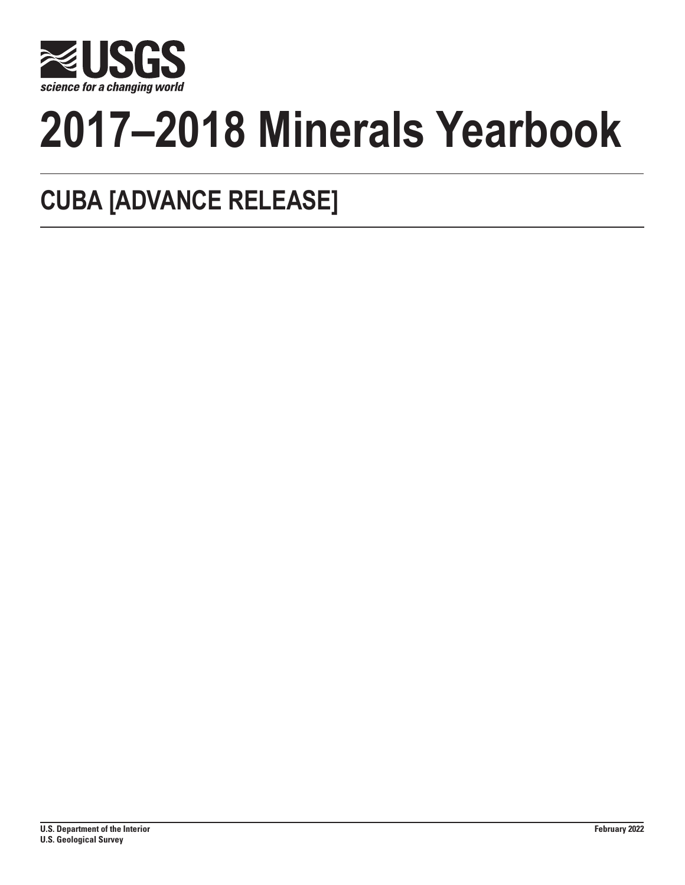

# **2017–2018 Minerals Yearbook**

## **CUBA [ADVANCE RELEASE]**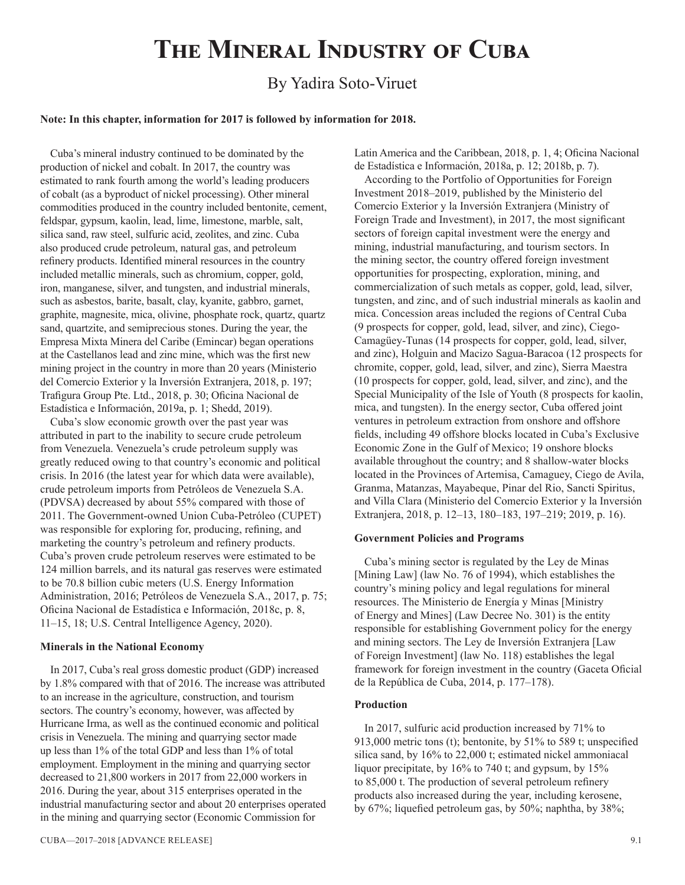## **The Mineral Industry of Cuba**

### By Yadira Soto-Viruet

#### **Note: In this chapter, information for 2017 is followed by information for 2018.**

Cuba's mineral industry continued to be dominated by the production of nickel and cobalt. In 2017, the country was estimated to rank fourth among the world's leading producers of cobalt (as a byproduct of nickel processing). Other mineral commodities produced in the country included bentonite, cement, feldspar, gypsum, kaolin, lead, lime, limestone, marble, salt, silica sand, raw steel, sulfuric acid, zeolites, and zinc. Cuba also produced crude petroleum, natural gas, and petroleum refinery products. Identified mineral resources in the country included metallic minerals, such as chromium, copper, gold, iron, manganese, silver, and tungsten, and industrial minerals, such as asbestos, barite, basalt, clay, kyanite, gabbro, garnet, graphite, magnesite, mica, olivine, phosphate rock, quartz, quartz sand, quartzite, and semiprecious stones. During the year, the Empresa Mixta Minera del Caribe (Emincar) began operations at the Castellanos lead and zinc mine, which was the first new mining project in the country in more than 20 years (Ministerio del Comercio Exterior y la Inversión Extranjera, 2018, p. 197; Trafigura Group Pte. Ltd., 2018, p. 30; Oficina Nacional de Estadística e Información, 2019a, p. 1; Shedd, 2019).

Cuba's slow economic growth over the past year was attributed in part to the inability to secure crude petroleum from Venezuela. Venezuela's crude petroleum supply was greatly reduced owing to that country's economic and political crisis. In 2016 (the latest year for which data were available), crude petroleum imports from Petróleos de Venezuela S.A. (PDVSA) decreased by about 55% compared with those of 2011. The Government-owned Union Cuba-Petróleo (CUPET) was responsible for exploring for, producing, refining, and marketing the country's petroleum and refinery products. Cuba's proven crude petroleum reserves were estimated to be 124 million barrels, and its natural gas reserves were estimated to be 70.8 billion cubic meters (U.S. Energy Information Administration, 2016; Petróleos de Venezuela S.A., 2017, p. 75; Oficina Nacional de Estadística e Información, 2018c, p. 8, 11–15, 18; U.S. Central Intelligence Agency, 2020).

#### **Minerals in the National Economy**

In 2017, Cuba's real gross domestic product (GDP) increased by 1.8% compared with that of 2016. The increase was attributed to an increase in the agriculture, construction, and tourism sectors. The country's economy, however, was affected by Hurricane Irma, as well as the continued economic and political crisis in Venezuela. The mining and quarrying sector made up less than 1% of the total GDP and less than 1% of total employment. Employment in the mining and quarrying sector decreased to 21,800 workers in 2017 from 22,000 workers in 2016. During the year, about 315 enterprises operated in the industrial manufacturing sector and about 20 enterprises operated in the mining and quarrying sector (Economic Commission for

Latin America and the Caribbean, 2018, p. 1, 4; Oficina Nacional de Estadística e Información, 2018a, p. 12; 2018b, p. 7).

According to the Portfolio of Opportunities for Foreign Investment 2018–2019, published by the Ministerio del Comercio Exterior y la Inversión Extranjera (Ministry of Foreign Trade and Investment), in 2017, the most significant sectors of foreign capital investment were the energy and mining, industrial manufacturing, and tourism sectors. In the mining sector, the country offered foreign investment opportunities for prospecting, exploration, mining, and commercialization of such metals as copper, gold, lead, silver, tungsten, and zinc, and of such industrial minerals as kaolin and mica. Concession areas included the regions of Central Cuba (9 prospects for copper, gold, lead, silver, and zinc), Ciego-Camagüey-Tunas (14 prospects for copper, gold, lead, silver, and zinc), Holguin and Macizo Sagua-Baracoa (12 prospects for chromite, copper, gold, lead, silver, and zinc), Sierra Maestra (10 prospects for copper, gold, lead, silver, and zinc), and the Special Municipality of the Isle of Youth (8 prospects for kaolin, mica, and tungsten). In the energy sector, Cuba offered joint ventures in petroleum extraction from onshore and offshore fields, including 49 offshore blocks located in Cuba's Exclusive Economic Zone in the Gulf of Mexico; 19 onshore blocks available throughout the country; and 8 shallow-water blocks located in the Provinces of Artemisa, Camaguey, Ciego de Avila, Granma, Matanzas, Mayabeque, Pinar del Rio, Sancti Spiritus, and Villa Clara (Ministerio del Comercio Exterior y la Inversión Extranjera, 2018, p. 12–13, 180–183, 197–219; 2019, p. 16).

#### **Government Policies and Programs**

Cuba's mining sector is regulated by the Ley de Minas [Mining Law] (law No. 76 of 1994), which establishes the country's mining policy and legal regulations for mineral resources. The Ministerio de Energía y Minas [Ministry of Energy and Mines] (Law Decree No. 301) is the entity responsible for establishing Government policy for the energy and mining sectors. The Ley de Inversión Extranjera [Law of Foreign Investment] (law No. 118) establishes the legal framework for foreign investment in the country (Gaceta Oficial de la República de Cuba, 2014, p. 177–178).

#### **Production**

In 2017, sulfuric acid production increased by 71% to 913,000 metric tons (t); bentonite, by 51% to 589 t; unspecified silica sand, by 16% to 22,000 t; estimated nickel ammoniacal liquor precipitate, by 16% to 740 t; and gypsum, by 15% to 85,000 t. The production of several petroleum refinery products also increased during the year, including kerosene, by 67%; liquefied petroleum gas, by 50%; naphtha, by 38%;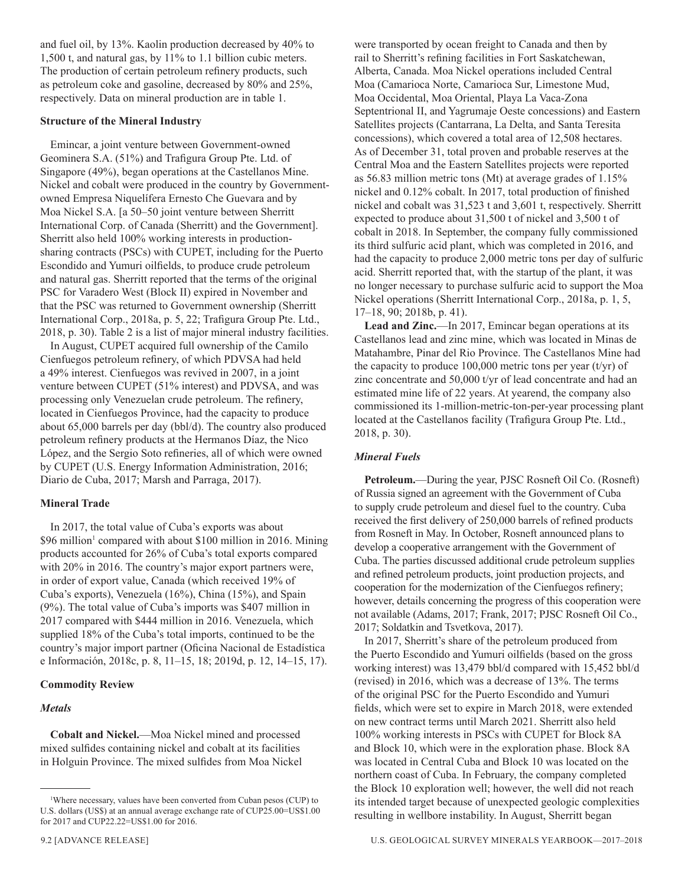and fuel oil, by 13%. Kaolin production decreased by 40% to 1,500 t, and natural gas, by 11% to 1.1 billion cubic meters. The production of certain petroleum refinery products, such as petroleum coke and gasoline, decreased by 80% and 25%, respectively. Data on mineral production are in table 1.

#### **Structure of the Mineral Industry**

Emincar, a joint venture between Government-owned Geominera S.A. (51%) and Trafigura Group Pte. Ltd. of Singapore (49%), began operations at the Castellanos Mine. Nickel and cobalt were produced in the country by Governmentowned Empresa Niquelífera Ernesto Che Guevara and by Moa Nickel S.A. [a 50–50 joint venture between Sherritt International Corp. of Canada (Sherritt) and the Government]. Sherritt also held 100% working interests in productionsharing contracts (PSCs) with CUPET, including for the Puerto Escondido and Yumuri oilfields, to produce crude petroleum and natural gas. Sherritt reported that the terms of the original PSC for Varadero West (Block II) expired in November and that the PSC was returned to Government ownership (Sherritt International Corp., 2018a, p. 5, 22; Trafigura Group Pte. Ltd., 2018, p. 30). Table 2 is a list of major mineral industry facilities.

In August, CUPET acquired full ownership of the Camilo Cienfuegos petroleum refinery, of which PDVSA had held a 49% interest. Cienfuegos was revived in 2007, in a joint venture between CUPET (51% interest) and PDVSA, and was processing only Venezuelan crude petroleum. The refinery, located in Cienfuegos Province, had the capacity to produce about 65,000 barrels per day (bbl/d). The country also produced petroleum refinery products at the Hermanos Díaz, the Nico López, and the Sergio Soto refineries, all of which were owned by CUPET (U.S. Energy Information Administration, 2016; Diario de Cuba, 2017; Marsh and Parraga, 2017).

#### **Mineral Trade**

In 2017, the total value of Cuba's exports was about \$96 million<sup>1</sup> compared with about \$100 million in 2016. Mining products accounted for 26% of Cuba's total exports compared with 20% in 2016. The country's major export partners were, in order of export value, Canada (which received 19% of Cuba's exports), Venezuela (16%), China (15%), and Spain (9%). The total value of Cuba's imports was \$407 million in 2017 compared with \$444 million in 2016. Venezuela, which supplied 18% of the Cuba's total imports, continued to be the country's major import partner (Oficina Nacional de Estadística e Información, 2018c, p. 8, 11–15, 18; 2019d, p. 12, 14–15, 17).

#### **Commodity Review**

#### *Metals*

**Cobalt and Nickel.**—Moa Nickel mined and processed mixed sulfides containing nickel and cobalt at its facilities in Holguin Province. The mixed sulfides from Moa Nickel were transported by ocean freight to Canada and then by rail to Sherritt's refining facilities in Fort Saskatchewan, Alberta, Canada. Moa Nickel operations included Central Moa (Camarioca Norte, Camarioca Sur, Limestone Mud, Moa Occidental, Moa Oriental, Playa La Vaca-Zona Septentrional II, and Yagrumaje Oeste concessions) and Eastern Satellites projects (Cantarrana, La Delta, and Santa Teresita concessions), which covered a total area of 12,508 hectares. As of December 31, total proven and probable reserves at the Central Moa and the Eastern Satellites projects were reported as 56.83 million metric tons (Mt) at average grades of 1.15% nickel and 0.12% cobalt. In 2017, total production of finished nickel and cobalt was 31,523 t and 3,601 t, respectively. Sherritt expected to produce about 31,500 t of nickel and 3,500 t of cobalt in 2018. In September, the company fully commissioned its third sulfuric acid plant, which was completed in 2016, and had the capacity to produce 2,000 metric tons per day of sulfuric acid. Sherritt reported that, with the startup of the plant, it was no longer necessary to purchase sulfuric acid to support the Moa Nickel operations (Sherritt International Corp., 2018a, p. 1, 5, 17–18, 90; 2018b, p. 41).

**Lead and Zinc.**—In 2017, Emincar began operations at its Castellanos lead and zinc mine, which was located in Minas de Matahambre, Pinar del Rio Province. The Castellanos Mine had the capacity to produce  $100,000$  metric tons per year (t/yr) of zinc concentrate and 50,000 t/yr of lead concentrate and had an estimated mine life of 22 years. At yearend, the company also commissioned its 1-million-metric-ton-per-year processing plant located at the Castellanos facility (Trafigura Group Pte. Ltd., 2018, p. 30).

#### *Mineral Fuels*

**Petroleum.**—During the year, PJSC Rosneft Oil Co. (Rosneft) of Russia signed an agreement with the Government of Cuba to supply crude petroleum and diesel fuel to the country. Cuba received the first delivery of 250,000 barrels of refined products from Rosneft in May. In October, Rosneft announced plans to develop a cooperative arrangement with the Government of Cuba. The parties discussed additional crude petroleum supplies and refined petroleum products, joint production projects, and cooperation for the modernization of the Cienfuegos refinery; however, details concerning the progress of this cooperation were not available (Adams, 2017; Frank, 2017; PJSC Rosneft Oil Co., 2017; Soldatkin and Tsvetkova, 2017).

In 2017, Sherritt's share of the petroleum produced from the Puerto Escondido and Yumuri oilfields (based on the gross working interest) was 13,479 bbl/d compared with 15,452 bbl/d (revised) in 2016, which was a decrease of 13%. The terms of the original PSC for the Puerto Escondido and Yumuri fields, which were set to expire in March 2018, were extended on new contract terms until March 2021. Sherritt also held 100% working interests in PSCs with CUPET for Block 8A and Block 10, which were in the exploration phase. Block 8A was located in Central Cuba and Block 10 was located on the northern coast of Cuba. In February, the company completed the Block 10 exploration well; however, the well did not reach its intended target because of unexpected geologic complexities resulting in wellbore instability. In August, Sherritt began

<sup>1</sup> Where necessary, values have been converted from Cuban pesos (CUP) to U.S. dollars (US\$) at an annual average exchange rate of CUP25.00=US\$1.00 for 2017 and CUP22.22=US\$1.00 for 2016.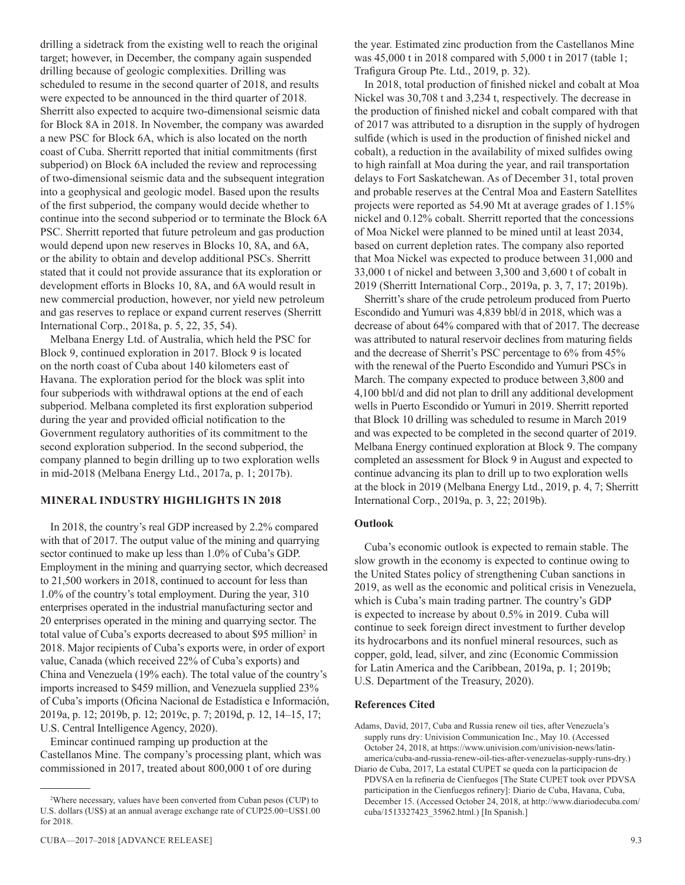drilling a sidetrack from the existing well to reach the original target; however, in December, the company again suspended drilling because of geologic complexities. Drilling was scheduled to resume in the second quarter of 2018, and results were expected to be announced in the third quarter of 2018. Sherritt also expected to acquire two-dimensional seismic data for Block 8A in 2018. In November, the company was awarded a new PSC for Block 6A, which is also located on the north coast of Cuba. Sherritt reported that initial commitments (first subperiod) on Block 6A included the review and reprocessing of two-dimensional seismic data and the subsequent integration into a geophysical and geologic model. Based upon the results of the first subperiod, the company would decide whether to continue into the second subperiod or to terminate the Block 6A PSC. Sherritt reported that future petroleum and gas production would depend upon new reserves in Blocks 10, 8A, and 6A, or the ability to obtain and develop additional PSCs. Sherritt stated that it could not provide assurance that its exploration or development efforts in Blocks 10, 8A, and 6A would result in new commercial production, however, nor yield new petroleum and gas reserves to replace or expand current reserves (Sherritt International Corp., 2018a, p. 5, 22, 35, 54).

Melbana Energy Ltd. of Australia, which held the PSC for Block 9, continued exploration in 2017. Block 9 is located on the north coast of Cuba about 140 kilometers east of Havana. The exploration period for the block was split into four subperiods with withdrawal options at the end of each subperiod. Melbana completed its first exploration subperiod during the year and provided official notification to the Government regulatory authorities of its commitment to the second exploration subperiod. In the second subperiod, the company planned to begin drilling up to two exploration wells in mid-2018 (Melbana Energy Ltd., 2017a, p. 1; 2017b).

#### **MINERAL INDUSTRY HIGHLIGHTS IN 2018**

In 2018, the country's real GDP increased by 2.2% compared with that of 2017. The output value of the mining and quarrying sector continued to make up less than 1.0% of Cuba's GDP. Employment in the mining and quarrying sector, which decreased to 21,500 workers in 2018, continued to account for less than 1.0% of the country's total employment. During the year, 310 enterprises operated in the industrial manufacturing sector and 20 enterprises operated in the mining and quarrying sector. The total value of Cuba's exports decreased to about \$95 million<sup>2</sup> in 2018. Major recipients of Cuba's exports were, in order of export value, Canada (which received 22% of Cuba's exports) and China and Venezuela (19% each). The total value of the country's imports increased to \$459 million, and Venezuela supplied 23% of Cuba's imports (Oficina Nacional de Estadística e Información, 2019a, p. 12; 2019b, p. 12; 2019c, p. 7; 2019d, p. 12, 14–15, 17; U.S. Central Intelligence Agency, 2020).

Emincar continued ramping up production at the Castellanos Mine. The company's processing plant, which was commissioned in 2017, treated about 800,000 t of ore during

the year. Estimated zinc production from the Castellanos Mine was 45,000 t in 2018 compared with 5,000 t in 2017 (table 1; Trafigura Group Pte. Ltd., 2019, p. 32).

In 2018, total production of finished nickel and cobalt at Moa Nickel was 30,708 t and 3,234 t, respectively. The decrease in the production of finished nickel and cobalt compared with that of 2017 was attributed to a disruption in the supply of hydrogen sulfide (which is used in the production of finished nickel and cobalt), a reduction in the availability of mixed sulfides owing to high rainfall at Moa during the year, and rail transportation delays to Fort Saskatchewan. As of December 31, total proven and probable reserves at the Central Moa and Eastern Satellites projects were reported as 54.90 Mt at average grades of 1.15% nickel and 0.12% cobalt. Sherritt reported that the concessions of Moa Nickel were planned to be mined until at least 2034, based on current depletion rates. The company also reported that Moa Nickel was expected to produce between 31,000 and 33,000 t of nickel and between 3,300 and 3,600 t of cobalt in 2019 (Sherritt International Corp., 2019a, p. 3, 7, 17; 2019b).

Sherritt's share of the crude petroleum produced from Puerto Escondido and Yumuri was 4,839 bbl/d in 2018, which was a decrease of about 64% compared with that of 2017. The decrease was attributed to natural reservoir declines from maturing fields and the decrease of Sherrit's PSC percentage to 6% from 45% with the renewal of the Puerto Escondido and Yumuri PSCs in March. The company expected to produce between 3,800 and 4,100 bbl/d and did not plan to drill any additional development wells in Puerto Escondido or Yumuri in 2019. Sherritt reported that Block 10 drilling was scheduled to resume in March 2019 and was expected to be completed in the second quarter of 2019. Melbana Energy continued exploration at Block 9. The company completed an assessment for Block 9 in August and expected to continue advancing its plan to drill up to two exploration wells at the block in 2019 (Melbana Energy Ltd., 2019, p. 4, 7; Sherritt International Corp., 2019a, p. 3, 22; 2019b).

#### **Outlook**

Cuba's economic outlook is expected to remain stable. The slow growth in the economy is expected to continue owing to the United States policy of strengthening Cuban sanctions in 2019, as well as the economic and political crisis in Venezuela, which is Cuba's main trading partner. The country's GDP is expected to increase by about 0.5% in 2019. Cuba will continue to seek foreign direct investment to further develop its hydrocarbons and its nonfuel mineral resources, such as copper, gold, lead, silver, and zinc (Economic Commission for Latin America and the Caribbean, 2019a, p. 1; 2019b; U.S. Department of the Treasury, 2020).

#### **References Cited**

Adams, David, 2017, Cuba and Russia renew oil ties, after Venezuela's supply runs dry: Univision Communication Inc., May 10. (Accessed October 24, 2018, at https://www.univision.com/univision-news/latinamerica/cuba-and-russia-renew-oil-ties-after-venezuelas-supply-runs-dry.)

<sup>2</sup> Where necessary, values have been converted from Cuban pesos (CUP) to U.S. dollars (US\$) at an annual average exchange rate of CUP25.00=US\$1.00 for 2018.

Diario de Cuba, 2017, La estatal CUPET se queda con la participacion de PDVSA en la refineria de Cienfuegos [The State CUPET took over PDVSA participation in the Cienfuegos refinery]: Diario de Cuba, Havana, Cuba, December 15. (Accessed October 24, 2018, at http://www.diariodecuba.com/ cuba/1513327423\_35962.html.) [In Spanish.]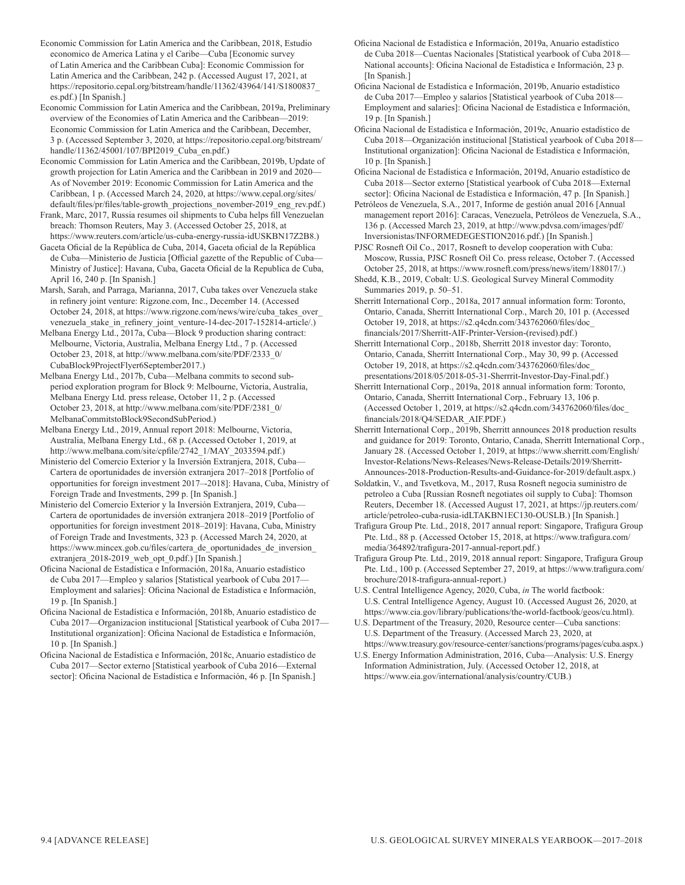Economic Commission for Latin America and the Caribbean, 2018, Estudio economico de America Latina y el Caribe—Cuba [Economic survey of Latin America and the Caribbean Cuba]: Economic Commission for Latin America and the Caribbean, 242 p. (Accessed August 17, 2021, at https://repositorio.cepal.org/bitstream/handle/11362/43964/141/S1800837\_ es.pdf.) [In Spanish.]

Economic Commission for Latin America and the Caribbean, 2019a, Preliminary overview of the Economies of Latin America and the Caribbean—2019: Economic Commission for Latin America and the Caribbean, December, 3 p. (Accessed September 3, 2020, at https://repositorio.cepal.org/bitstream/ handle/11362/45001/107/BPI2019\_Cuba\_en.pdf.)

Economic Commission for Latin America and the Caribbean, 2019b, Update of growth projection for Latin America and the Caribbean in 2019 and 2020— As of November 2019: Economic Commission for Latin America and the Caribbean, 1 p. (Accessed March 24, 2020, at https://www.cepal.org/sites/ default/files/pr/files/table-growth\_projections\_november-2019\_eng\_rev.pdf.)

Frank, Marc, 2017, Russia resumes oil shipments to Cuba helps fill Venezuelan breach: Thomson Reuters, May 3. (Accessed October 25, 2018, at https://www.reuters.com/article/us-cuba-energy-russia-idUSKBN17Z2B8.)

Gaceta Oficial de la República de Cuba, 2014, Gaceta oficial de la República de Cuba—Ministerio de Justicia [Official gazette of the Republic of Cuba— Ministry of Justice]: Havana, Cuba, Gaceta Oficial de la Republica de Cuba, April 16, 240 p. [In Spanish.]

Marsh, Sarah, and Parraga, Marianna, 2017, Cuba takes over Venezuela stake in refinery joint venture: Rigzone.com, Inc., December 14. (Accessed October 24, 2018, at https://www.rigzone.com/news/wire/cuba\_takes\_over\_ venezuela stake in refinery joint venture-14-dec-2017-152814-article/.)

Melbana Energy Ltd., 2017a, Cuba—Block 9 production sharing contract: Melbourne, Victoria, Australia, Melbana Energy Ltd., 7 p. (Accessed October 23, 2018, at http://www.melbana.com/site/PDF/2333\_0/ CubaBlock9ProjectFlyer6September2017.)

Melbana Energy Ltd., 2017b, Cuba—Melbana commits to second subperiod exploration program for Block 9: Melbourne, Victoria, Australia, Melbana Energy Ltd. press release, October 11, 2 p. (Accessed October 23, 2018, at http://www.melbana.com/site/PDF/2381\_0/ MelbanaCommitstoBlock9SecondSubPeriod.)

Melbana Energy Ltd., 2019, Annual report 2018: Melbourne, Victoria, Australia, Melbana Energy Ltd., 68 p. (Accessed October 1, 2019, at http://www.melbana.com/site/cpfile/2742\_1/MAY\_2033594.pdf.)

Ministerio del Comercio Exterior y la Inversión Extranjera, 2018, Cuba— Cartera de oportunidades de inversión extranjera 2017–2018 [Portfolio of opportunities for foreign investment 2017–-2018]: Havana, Cuba, Ministry of Foreign Trade and Investments, 299 p. [In Spanish.]

Ministerio del Comercio Exterior y la Inversión Extranjera, 2019, Cuba— Cartera de oportunidades de inversión extranjera 2018–2019 [Portfolio of opportunities for foreign investment 2018–2019]: Havana, Cuba, Ministry of Foreign Trade and Investments, 323 p. (Accessed March 24, 2020, at https://www.mincex.gob.cu/files/cartera\_de\_oportunidades\_de\_inversion\_ extranjera\_2018-2019\_web\_opt\_0.pdf.) [In Spanish.]

Oficina Nacional de Estadística e Información, 2018a, Anuario estadístico de Cuba 2017—Empleo y salarios [Statistical yearbook of Cuba 2017— Employment and salaries]: Oficina Nacional de Estadística e Información, 19 p. [In Spanish.]

Oficina Nacional de Estadística e Información, 2018b, Anuario estadístico de Cuba 2017—Organizacion institucional [Statistical yearbook of Cuba 2017— Institutional organization]: Oficina Nacional de Estadística e Información, 10 p. [In Spanish.]

Oficina Nacional de Estadística e Información, 2018c, Anuario estadístico de Cuba 2017—Sector externo [Statistical yearbook of Cuba 2016—External sector]: Oficina Nacional de Estadística e Información, 46 p. [In Spanish.] Oficina Nacional de Estadística e Información, 2019a, Anuario estadístico de Cuba 2018—Cuentas Nacionales [Statistical yearbook of Cuba 2018— National accounts]: Oficina Nacional de Estadística e Información, 23 p. [In Spanish.]

Oficina Nacional de Estadística e Información, 2019b, Anuario estadístico de Cuba 2017—Empleo y salarios [Statistical yearbook of Cuba 2018— Employment and salaries]: Oficina Nacional de Estadística e Información, 19 p. [In Spanish.]

Oficina Nacional de Estadística e Información, 2019c, Anuario estadístico de Cuba 2018—Organización institucional [Statistical yearbook of Cuba 2018— Institutional organization]: Oficina Nacional de Estadística e Información, 10 p. [In Spanish.]

Oficina Nacional de Estadística e Información, 2019d, Anuario estadístico de Cuba 2018—Sector externo [Statistical yearbook of Cuba 2018—External sector]: Oficina Nacional de Estadística e Información, 47 p. [In Spanish.]

Petróleos de Venezuela, S.A., 2017, Informe de gestión anual 2016 [Annual management report 2016]: Caracas, Venezuela, Petróleos de Venezuela, S.A., 136 p. (Accessed March 23, 2019, at http://www.pdvsa.com/images/pdf/ Inversionistas/INFORMEDEGESTION2016.pdf.) [In Spanish.]

PJSC Rosneft Oil Co., 2017, Rosneft to develop cooperation with Cuba: Moscow, Russia, PJSC Rosneft Oil Co. press release, October 7. (Accessed October 25, 2018, at https://www.rosneft.com/press/news/item/188017/.)

Shedd, K.B., 2019, Cobalt: U.S. Geological Survey Mineral Commodity Summaries 2019, p. 50–51.

Sherritt International Corp., 2018a, 2017 annual information form: Toronto, Ontario, Canada, Sherritt International Corp., March 20, 101 p. (Accessed October 19, 2018, at https://s2.q4cdn.com/343762060/files/doc\_ financials/2017/Sherritt-AIF-Printer-Version-(revised).pdf.)

Sherritt International Corp., 2018b, Sherritt 2018 investor day: Toronto, Ontario, Canada, Sherritt International Corp., May 30, 99 p. (Accessed October 19, 2018, at https://s2.q4cdn.com/343762060/files/doc\_ presentations/2018/05/2018-05-31-Sherrrit-Investor-Day-Final.pdf.)

Sherritt International Corp., 2019a, 2018 annual information form: Toronto, Ontario, Canada, Sherritt International Corp., February 13, 106 p. (Accessed October 1, 2019, at https://s2.q4cdn.com/343762060/files/doc\_ financials/2018/Q4/SEDAR\_AIF.PDF.)

Sherritt International Corp., 2019b, Sherritt announces 2018 production results and guidance for 2019: Toronto, Ontario, Canada, Sherritt International Corp., January 28. (Accessed October 1, 2019, at https://www.sherritt.com/English/ Investor-Relations/News-Releases/News-Release-Details/2019/Sherritt-Announces-2018-Production-Results-and-Guidance-for-2019/default.aspx.)

Soldatkin, V., and Tsvetkova, M., 2017, Rusa Rosneft negocia suministro de petroleo a Cuba [Russian Rosneft negotiates oil supply to Cuba]: Thomson Reuters, December 18. (Accessed August 17, 2021, at https://jp.reuters.com/ article/petroleo-cuba-rusia-idLTAKBN1EC130-OUSLB.) [In Spanish.]

Trafigura Group Pte. Ltd., 2018, 2017 annual report: Singapore, Trafigura Group Pte. Ltd., 88 p. (Accessed October 15, 2018, at https://www.trafigura.com/ media/364892/trafigura-2017-annual-report.pdf.)

Trafigura Group Pte. Ltd., 2019, 2018 annual report: Singapore, Trafigura Group Pte. Ltd., 100 p. (Accessed September 27, 2019, at https://www.trafigura.com/ brochure/2018-trafigura-annual-report.)

U.S. Central Intelligence Agency, 2020, Cuba, *in* The world factbook: U.S. Central Intelligence Agency, August 10. (Accessed August 26, 2020, at https://www.cia.gov/library/publications/the-world-factbook/geos/cu.html).

U.S. Department of the Treasury, 2020, Resource center—Cuba sanctions: U.S. Department of the Treasury. (Accessed March 23, 2020, at https://www.treasury.gov/resource-center/sanctions/programs/pages/cuba.aspx.)

U.S. Energy Information Administration, 2016, Cuba—Analysis: U.S. Energy Information Administration, July. (Accessed October 12, 2018, at https://www.eia.gov/international/analysis/country/CUB.)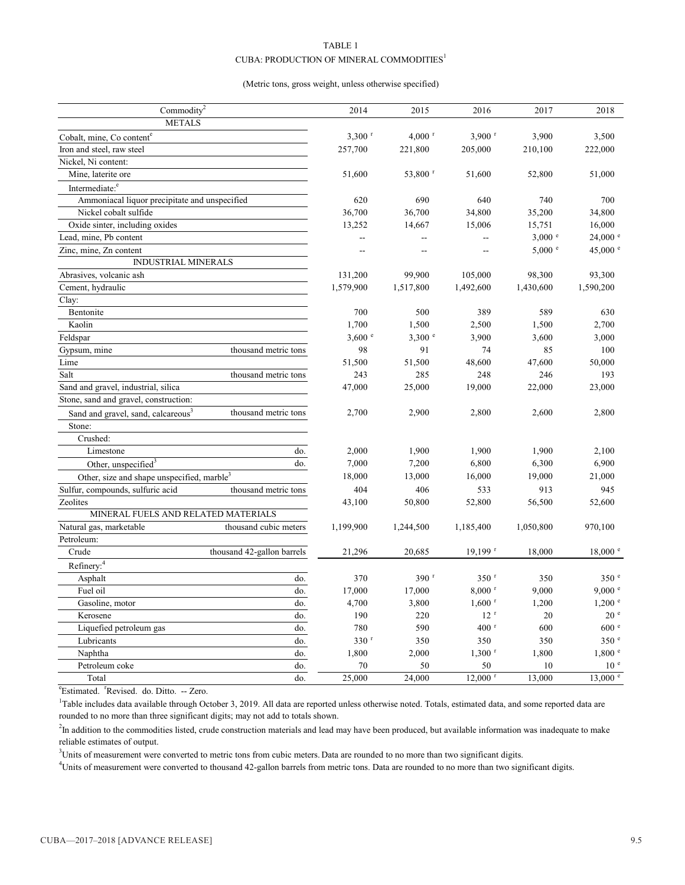#### TABLE 1

#### CUBA: PRODUCTION OF MINERAL COMMODITIES<sup>1</sup>

#### (Metric tons, gross weight, unless otherwise specified)

| Commodity <sup>2</sup>                                 |                            | 2014                 | 2015                 | 2016                  | 2017      | 2018                |
|--------------------------------------------------------|----------------------------|----------------------|----------------------|-----------------------|-----------|---------------------|
| <b>METALS</b>                                          |                            |                      |                      |                       |           |                     |
| Cobalt, mine, Co content <sup>e</sup>                  |                            | $3,300$ <sup>r</sup> | $4,000$ <sup>r</sup> | $3,900$ <sup>r</sup>  | 3,900     | 3,500               |
| Iron and steel, raw steel                              |                            | 257,700              | 221,800              | 205,000               | 210,100   | 222,000             |
| Nickel, Ni content:                                    |                            |                      |                      |                       |           |                     |
| Mine, laterite ore                                     |                            | 51,600               | 53,800 r             | 51,600                | 52,800    | 51,000              |
| Intermediate: <sup>e</sup>                             |                            |                      |                      |                       |           |                     |
| Ammoniacal liquor precipitate and unspecified          |                            | 620                  | 690                  | 640                   | 740       | 700                 |
| Nickel cobalt sulfide                                  |                            | 36,700               | 36,700               | 34,800                | 35,200    | 34,800              |
| Oxide sinter, including oxides                         |                            | 13,252               | 14,667               | 15,006                | 15,751    | 16,000              |
| Lead, mine, Pb content                                 |                            |                      |                      |                       | $3,000$ e | $24,000$ $^{\circ}$ |
| Zinc, mine, Zn content                                 |                            | -−                   |                      | Ξ.                    | 5,000 °   | 45,000 °            |
| <b>INDUSTRIAL MINERALS</b>                             |                            |                      |                      |                       |           |                     |
| Abrasives, volcanic ash                                |                            | 131,200              | 99,900               | 105,000               | 98,300    | 93,300              |
| Cement, hydraulic                                      |                            | 1,579,900            | 1,517,800            | 1,492,600             | 1,430,600 | 1,590,200           |
| Clay:                                                  |                            |                      |                      |                       |           |                     |
| Bentonite                                              |                            | 700                  | 500                  | 389                   | 589       | 630                 |
| Kaolin                                                 |                            | 1,700                | 1,500                | 2,500                 | 1,500     | 2,700               |
| Feldspar                                               |                            | 3,600 °              | 3,300 °              | 3,900                 | 3,600     | 3,000               |
| Gypsum, mine                                           | thousand metric tons       | 98                   | 91                   | 74                    | 85        | 100                 |
| Lime                                                   |                            | 51,500               | 51,500               | 48,600                | 47,600    | 50,000              |
| Salt                                                   | thousand metric tons       | 243                  | 285                  | 248                   | 246       | 193                 |
| Sand and gravel, industrial, silica                    |                            | 47,000               | 25,000               | 19,000                | 22,000    | 23,000              |
| Stone, sand and gravel, construction:                  |                            |                      |                      |                       |           |                     |
| Sand and gravel, sand, calcareous <sup>3</sup>         | thousand metric tons       | 2,700                | 2,900                | 2,800                 | 2,600     | 2,800               |
| Stone:                                                 |                            |                      |                      |                       |           |                     |
| Crushed:                                               |                            |                      |                      |                       |           |                     |
| Limestone                                              | do.                        | 2,000                | 1,900                | 1,900                 | 1,900     | 2,100               |
| Other, unspecified <sup>3</sup>                        | do.                        | 7,000                | 7,200                | 6,800                 | 6,300     | 6,900               |
| Other, size and shape unspecified, marble <sup>3</sup> |                            | 18,000               | 13,000               | 16,000                | 19,000    | 21,000              |
| Sulfur, compounds, sulfuric acid                       | thousand metric tons       | 404                  | 406                  | 533                   | 913       | 945                 |
| Zeolites                                               |                            | 43,100               | 50,800               | 52,800                | 56,500    | 52,600              |
| MINERAL FUELS AND RELATED MATERIALS                    |                            |                      |                      |                       |           |                     |
| Natural gas, marketable                                | thousand cubic meters      | 1,199,900            | 1,244,500            | 1,185,400             | 1,050,800 | 970,100             |
| Petroleum:                                             |                            |                      |                      |                       |           |                     |
| Crude                                                  | thousand 42-gallon barrels | 21,296               | 20,685               | $19,199$ <sup>r</sup> | 18,000    | $18,000$ $^{\circ}$ |
| Refinery: <sup>4</sup>                                 |                            |                      |                      |                       |           |                     |
| Asphalt                                                | do.                        | 370                  | $390$ <sup>r</sup>   | 350 <sup>r</sup>      | 350       | 350 <sup>°</sup>    |
| Fuel oil                                               | do.                        | 17,000               | 17,000               | $8,000$ <sup>r</sup>  | 9,000     | 9,000 °             |
| Gasoline, motor                                        | do.                        | 4,700                | 3,800                | $1,600$ <sup>r</sup>  | 1,200     | $1,200$ $\degree$   |
| Kerosene                                               | do.                        | 190                  | 220                  | 12 <sup>r</sup>       | 20        | 20 <sup>°</sup>     |
| Liquefied petroleum gas                                | do.                        | 780                  | 590                  | $400$ <sup>r</sup>    | 600       | 600e                |
| Lubricants                                             | do.                        | 330 <sup>r</sup>     | 350                  | 350                   | 350       | 350 <sup>°</sup>    |
| Naphtha                                                | do.                        | 1,800                | 2,000                | $1,300$ <sup>r</sup>  | 1,800     | 1,800 °             |
| Petroleum coke                                         | do.                        | 70                   | 50                   | 50                    | 10        | 10 <sup>e</sup>     |
| Total                                                  | do.                        | 25,000               | 24,000               | $12,000$ <sup>r</sup> | 13,000    | $13,000$ e          |

<sup>e</sup>Estimated. <sup>r</sup>Revised. do. Ditto. -- Zero.

<sup>1</sup>Table includes data available through October 3, 2019. All data are reported unless otherwise noted. Totals, estimated data, and some reported data are rounded to no more than three significant digits; may not add to totals shown.

<sup>2</sup>In addition to the commodities listed, crude construction materials and lead may have been produced, but available information was inadequate to make reliable estimates of output.

<sup>3</sup>Units of measurement were converted to metric tons from cubic meters. Data are rounded to no more than two significant digits.

4 Units of measurement were converted to thousand 42-gallon barrels from metric tons. Data are rounded to no more than two significant digits.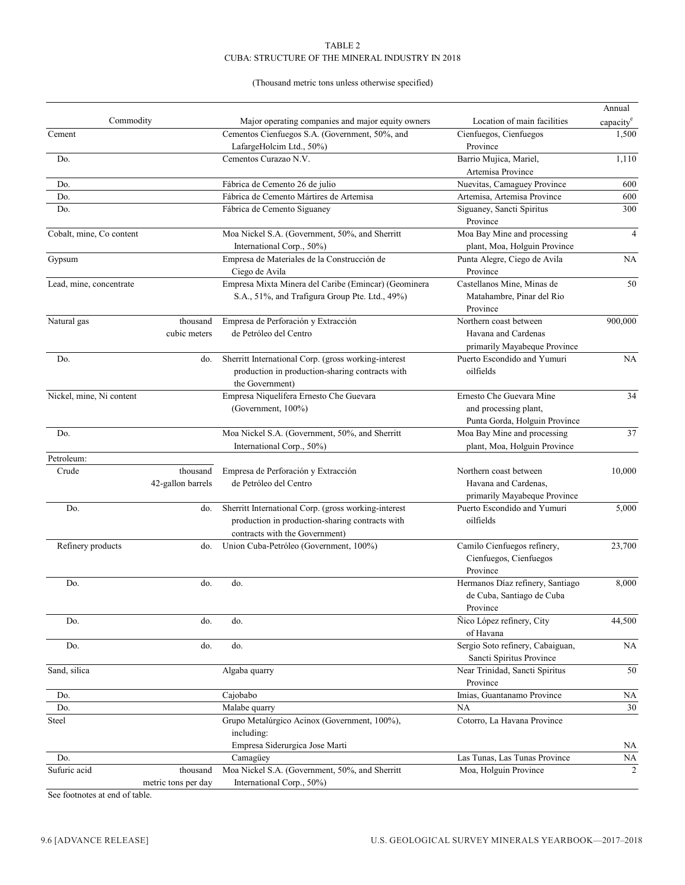#### TABLE 2 CUBA: STRUCTURE OF THE MINERAL INDUSTRY IN 2018

#### (Thousand metric tons unless otherwise specified)

|                          |                     |                                                      |                                       | Annual         |
|--------------------------|---------------------|------------------------------------------------------|---------------------------------------|----------------|
| Commodity                |                     | Major operating companies and major equity owners    | Location of main facilities           | capacity       |
| Cement                   |                     | Cementos Cienfuegos S.A. (Government, 50%, and       | Cienfuegos, Cienfuegos                | 1,500          |
|                          |                     | LafargeHolcim Ltd., 50%)                             | Province                              |                |
| Do.                      |                     | Cementos Curazao N.V.                                | Barrio Mujica, Mariel,                | 1,110          |
|                          |                     |                                                      | Artemisa Province                     |                |
| Do.                      |                     | Fábrica de Cemento 26 de julio                       | Nuevitas, Camaguey Province           | 600            |
| Do.                      |                     | Fábrica de Cemento Mártires de Artemisa              | Artemisa, Artemisa Province           | 600            |
| Do.                      |                     | Fábrica de Cemento Siguaney                          | Siguaney, Sancti Spiritus<br>Province | 300            |
| Cobalt, mine, Co content |                     | Moa Nickel S.A. (Government, 50%, and Sherritt       | Moa Bay Mine and processing           | $\overline{4}$ |
|                          |                     | International Corp., 50%)                            | plant, Moa, Holguin Province          |                |
| Gypsum                   |                     | Empresa de Materiales de la Construcción de          | Punta Alegre, Ciego de Avila          | NA             |
|                          |                     | Ciego de Avila                                       | Province                              |                |
| Lead, mine, concentrate  |                     | Empresa Mixta Minera del Caribe (Emincar) (Geominera | Castellanos Mine, Minas de            | 50             |
|                          |                     | S.A., 51%, and Trafigura Group Pte. Ltd., 49%)       | Matahambre, Pinar del Rio             |                |
|                          |                     |                                                      | Province                              |                |
| Natural gas              | thousand            | Empresa de Perforación y Extracción                  | Northern coast between                | 900,000        |
|                          | cubic meters        | de Petróleo del Centro                               | Havana and Cardenas                   |                |
|                          |                     |                                                      | primarily Mayabeque Province          |                |
| Do.                      | do.                 | Sherritt International Corp. (gross working-interest | Puerto Escondido and Yumuri           | $\rm NA$       |
|                          |                     | production in production-sharing contracts with      | oilfields                             |                |
|                          |                     | the Government)                                      |                                       |                |
| Nickel, mine, Ni content |                     | Empresa Niquelífera Ernesto Che Guevara              | Ernesto Che Guevara Mine              | 34             |
|                          |                     | (Government, 100%)                                   | and processing plant,                 |                |
|                          |                     |                                                      | Punta Gorda, Holguin Province         |                |
| Do.                      |                     | Moa Nickel S.A. (Government, 50%, and Sherritt       | Moa Bay Mine and processing           | 37             |
|                          |                     | International Corp., 50%)                            | plant, Moa, Holguin Province          |                |
| Petroleum:               |                     |                                                      |                                       |                |
| Crude                    | thousand            | Empresa de Perforación y Extracción                  | Northern coast between                | 10,000         |
|                          | 42-gallon barrels   | de Petróleo del Centro                               | Havana and Cardenas,                  |                |
|                          |                     |                                                      | primarily Mayabeque Province          |                |
| Do.                      | do.                 | Sherritt International Corp. (gross working-interest | Puerto Escondido and Yumuri           | 5,000          |
|                          |                     | production in production-sharing contracts with      | oilfields                             |                |
|                          |                     | contracts with the Government)                       |                                       |                |
| Refinery products        | do.                 | Union Cuba-Petróleo (Government, 100%)               | Camilo Cienfuegos refinery,           | 23,700         |
|                          |                     |                                                      | Cienfuegos, Cienfuegos                |                |
|                          |                     |                                                      | Province                              |                |
| Do.                      | do.                 | do.                                                  | Hermanos Díaz refinery, Santiago      | 8,000          |
|                          |                     |                                                      | de Cuba, Santiago de Cuba             |                |
|                          |                     |                                                      | Province                              |                |
| Do.                      | do.                 | do.                                                  | Ñico López refinery, City             | 44,500         |
|                          |                     |                                                      | of Havana                             |                |
| Do.                      | do.                 | do.                                                  | Sergio Soto refinery, Cabaiguan,      | NA             |
|                          |                     |                                                      | Sancti Spiritus Province              |                |
| Sand, silica             |                     | Algaba quarry                                        | Near Trinidad, Sancti Spiritus        | 50             |
|                          |                     |                                                      | Province                              |                |
| Do.                      |                     | Cajobabo                                             | Imias, Guantanamo Province            | NA             |
| Do.                      |                     | Malabe quarry                                        | NA                                    | 30             |
| Steel                    |                     | Grupo Metalúrgico Acinox (Government, 100%),         | Cotorro, La Havana Province           |                |
|                          |                     | including:                                           |                                       |                |
|                          |                     | Empresa Siderurgica Jose Marti                       |                                       | NA             |
| Do.                      |                     | Camagüey                                             | Las Tunas, Las Tunas Province         | NA             |
| Sufuric acid             | thousand            | Moa Nickel S.A. (Government, 50%, and Sherritt       | Moa, Holguin Province                 | 2              |
|                          | metric tons per day | International Corp., 50%)                            |                                       |                |

See footnotes at end of table.